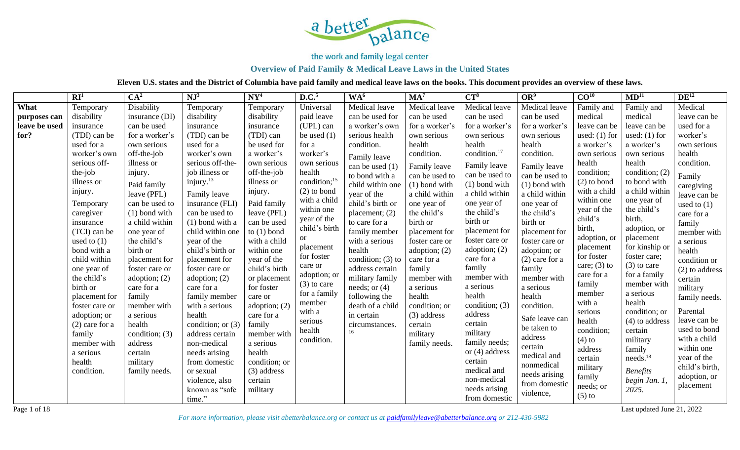

## **Overview of Paid Family & Medical Leave Laws in the United States**

**Eleven U.S. states and the District of Columbia have paid family and medical leave laws on the books. This document provides an overview of these laws.**

|               | RI <sup>1</sup>  | CA <sup>2</sup>  | NJ <sup>3</sup>          | NY <sup>4</sup> | D.C. <sup>5</sup>        | WA <sup>6</sup>      | MA <sup>7</sup> | $CT^8$                      | OR <sup>9</sup>  | CO <sup>10</sup>        | MD <sup>11</sup>              | $DE^{12}$      |
|---------------|------------------|------------------|--------------------------|-----------------|--------------------------|----------------------|-----------------|-----------------------------|------------------|-------------------------|-------------------------------|----------------|
| What          | Temporary        | Disability       | Temporary                | Temporary       | Universal                | Medical leave        | Medical leave   | Medical leave               | Medical leave    | Family and              | Family and                    | Medical        |
| purposes can  | disability       | insurance (DI)   | disability               | disability      | paid leave               | can be used for      | can be used     | can be used                 | can be used      | medical                 | medical                       | leave can be   |
| leave be used | insurance        | can be used      | insurance                | insurance       | (UPL) can                | a worker's own       | for a worker's  | for a worker's              | for a worker's   | leave can be            | leave can be                  | used for a     |
| for?          | (TDI) can be     | for a worker's   | (TDI) can be             | (TDI) can       | be used $(1)$            | serious health       | own serious     | own serious                 | own serious      | used: $(1)$ for         | used: $(1)$ for               | worker's       |
|               | used for a       | own serious      | used for a               | be used for     | for a                    | condition.           | health          | health                      | health           | a worker's              | a worker's                    | own serious    |
|               | worker's own     | off-the-job      | worker's own             | a worker's      | worker's                 | Family leave         | condition.      | condition. <sup>17</sup>    | condition.       | own serious             | own serious                   | health         |
|               | serious off-     | illness or       | serious off-the-         | own serious     | own serious              | can be used $(1)$    | Family leave    | Family leave                | Family leave     | health                  | health                        | condition.     |
|               | the-job          | injury.          | job illness or           | off-the-job     | health                   | to bond with a       | can be used to  | can be used to              | can be used to   | condition;              | condition; (2)                | Family         |
|               | illness or       | Paid family      | injury. $13$             | illness or      | condition; <sup>15</sup> | child within one     | $(1)$ bond with | $(1)$ bond with             | $(1)$ bond with  | $(2)$ to bond           | to bond with                  | caregiving     |
|               | injury.          | leave (PFL)      | Family leave             | injury.         | $(2)$ to bond            | year of the          | a child within  | a child within              | a child within   | with a child            | a child within                | leave can be   |
|               | Temporary        | can be used to   | insurance (FLI)          | Paid family     | with a child             | child's birth or     | one year of     | one year of                 | one year of      | within one              | one year of                   | used to $(1)$  |
|               | caregiver        | $(1)$ bond with  | can be used to           | leave (PFL)     | within one               | placement; $(2)$     | the child's     | the child's                 | the child's      | year of the             | the child's                   | care for a     |
|               | insurance        | a child within   | $(1)$ bond with a        | can be used     | year of the              | to care for a        | birth or        | birth or                    | birth or         | child's                 | birth,                        | family         |
|               | (TCI) can be     | one year of      | child within one         | to $(1)$ bond   | child's birth            | family member        | placement for   | placement for               | placement for    | birth,                  | adoption, or                  | member with    |
|               | used to $(1)$    | the child's      | year of the              | with a child    | or                       | with a serious       | foster care or  | foster care or              | foster care or   | adoption, or            | placement                     | a serious      |
|               | bond with a      | birth or         | child's birth or         | within one      | placement<br>for foster  | health               | adoption; $(2)$ | adoption; $(2)$             | adoption; or     | placement<br>for foster | for kinship or                | health         |
|               | child within     | placement for    | placement for            | year of the     | care or                  | condition; $(3)$ to  | care for a      | care for a                  | $(2)$ care for a | care; $(3)$ to          | foster care;<br>$(3)$ to care | condition or   |
|               | one year of      | foster care or   | foster care or           | child's birth   | adoption; or             | address certain      | family          | family                      | family           | care for a              | for a family                  | (2) to address |
|               | the child's      | adoption; $(2)$  | adoption; $(2)$          | or placement    | $(3)$ to care            | military family      | member with     | member with                 | member with      | family                  | member with                   | certain        |
|               | birth or         | care for a       | care for a               | for foster      | for a family             | needs; or $(4)$      | a serious       | a serious                   | a serious        | member                  | a serious                     | military       |
|               | placement for    | family           | family member            | care or         | member                   | following the        | health          | health                      | health           | with a                  | health                        | family needs.  |
|               | foster care or   | member with      | with a serious           | adoption; (2)   | with a                   | death of a child     | condition; or   | condition; $(3)$            | condition.       | serious                 | condition; or                 | Parental       |
|               | adoption; or     | a serious        | health                   | care for a      | serious                  | in certain           | (3) address     | address                     | Safe leave can   | health                  | (4) to address                | leave can be   |
|               | $(2)$ care for a | health           | condition; or $(3)$      | family          | health                   | circumstances.<br>16 | certain         | certain                     | be taken to      | condition;              | certain                       | used to bond   |
|               | family           | condition; $(3)$ | address certain          | member with     | condition.               |                      | military        | military                    | address          | $(4)$ to                | military                      | with a child   |
|               | member with      | address          | non-medical              | a serious       |                          |                      | family needs.   | family needs;               | certain          | address                 | family                        | within one     |
|               | a serious        | certain          | needs arising            | health          |                          |                      |                 | or $(4)$ address<br>certain | medical and      | certain                 | needs. <sup>18</sup>          | year of the    |
|               | health           | military         | from domestic            | condition; or   |                          |                      |                 | medical and                 | nonmedical       | military                |                               | child's birth, |
|               | condition.       | family needs.    | or sexual                | (3) address     |                          |                      |                 | non-medical                 | needs arising    | family                  | <b>Benefits</b>               | adoption, or   |
|               |                  |                  | violence, also           | certain         |                          |                      |                 | needs arising               | from domestic    | needs; or               | begin Jan. 1,                 | placement      |
|               |                  |                  | known as "safe<br>time." | military        |                          |                      |                 | from domestic               | violence,        | $(5)$ to                | 2025.                         |                |
|               |                  |                  |                          |                 |                          |                      |                 |                             |                  |                         |                               |                |

Page 1 of 18 Last updated June 21, 2022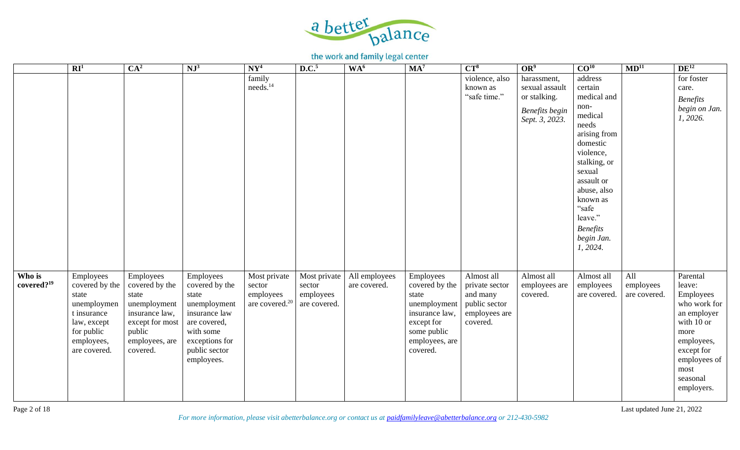

|                                  | $\overline{\mathbf{R}\mathbf{I}^1}$                                                                                           | CA <sup>2</sup>                                                                                                                   | NJ <sup>3</sup>                                                                                                                                     | $NY^4$                                                            | D.C. <sup>5</sup>                                   | WA <sup>6</sup>               | $MA^7$                                                                                                                            | $CT^8$                                                                                 | OR <sup>9</sup>                                         | CO <sup>10</sup>                                                                                                                                                                                         | MD <sup>11</sup>                 | $DE^{12}$                                                                                                                                                          |
|----------------------------------|-------------------------------------------------------------------------------------------------------------------------------|-----------------------------------------------------------------------------------------------------------------------------------|-----------------------------------------------------------------------------------------------------------------------------------------------------|-------------------------------------------------------------------|-----------------------------------------------------|-------------------------------|-----------------------------------------------------------------------------------------------------------------------------------|----------------------------------------------------------------------------------------|---------------------------------------------------------|----------------------------------------------------------------------------------------------------------------------------------------------------------------------------------------------------------|----------------------------------|--------------------------------------------------------------------------------------------------------------------------------------------------------------------|
|                                  |                                                                                                                               |                                                                                                                                   |                                                                                                                                                     | family                                                            |                                                     |                               |                                                                                                                                   | violence, also                                                                         | harassment,                                             | address                                                                                                                                                                                                  |                                  | for foster                                                                                                                                                         |
|                                  |                                                                                                                               |                                                                                                                                   |                                                                                                                                                     | needs. <sup>14</sup>                                              |                                                     |                               |                                                                                                                                   | known as                                                                               | sexual assault                                          | certain                                                                                                                                                                                                  |                                  | care.                                                                                                                                                              |
|                                  |                                                                                                                               |                                                                                                                                   |                                                                                                                                                     |                                                                   |                                                     |                               |                                                                                                                                   | "safe time."                                                                           | or stalking.<br><b>Benefits</b> begin<br>Sept. 3, 2023. | medical and<br>non-<br>medical<br>needs<br>arising from<br>domestic<br>violence,<br>stalking, or<br>sexual<br>assault or<br>abuse, also<br>known as<br>"safe<br>leave."<br><b>Benefits</b><br>begin Jan. |                                  | <b>Benefits</b><br>begin on Jan.<br>1, 2026.                                                                                                                       |
| Who is<br>covered? <sup>19</sup> | Employees<br>covered by the<br>state<br>unemploymen<br>t insurance<br>law, except<br>for public<br>employees,<br>are covered. | Employees<br>covered by the<br>state<br>unemployment<br>insurance law,<br>except for most<br>public<br>employees, are<br>covered. | Employees<br>covered by the<br>state<br>unemployment<br>insurance law<br>are covered,<br>with some<br>exceptions for<br>public sector<br>employees. | Most private<br>sector<br>employees<br>are covered. <sup>20</sup> | Most private<br>sector<br>employees<br>are covered. | All employees<br>are covered. | Employees<br>covered by the<br>state<br>unemployment<br>insurance law,<br>except for<br>some public<br>employees, are<br>covered. | Almost all<br>private sector<br>and many<br>public sector<br>employees are<br>covered. | Almost all<br>employees are<br>covered.                 | 1, 2024.<br>Almost all<br>employees<br>are covered.                                                                                                                                                      | All<br>employees<br>are covered. | Parental<br>leave:<br>Employees<br>who work for<br>an employer<br>with 10 or<br>more<br>employees,<br>except for<br>employees of<br>most<br>seasonal<br>employers. |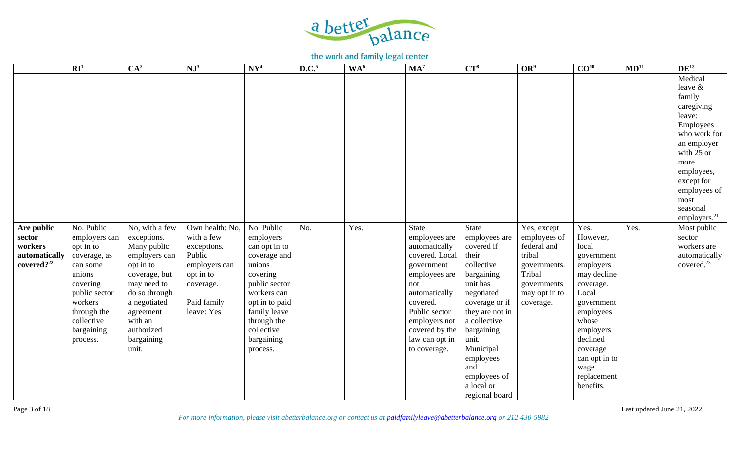

|                                                                            | RI <sup>1</sup>                                                                                                                                                               | CA <sup>2</sup>                                                                                                                                                                                          | NJ <sup>3</sup>                                                                                                                 | NY <sup>4</sup>                                                                                                                                                                                         | D.C. <sup>5</sup> | WA <sup>6</sup> | MA <sup>7</sup>                                                                                                                                                                                                           | $CT^8$                                                                                                                                                                                                                                                           | OR <sup>9</sup>                                                                                                             | CO <sup>10</sup>                                                                                                                                                                                                        | MD <sup>11</sup> | $DE^{12}$                                                                                                                                                                                                 |
|----------------------------------------------------------------------------|-------------------------------------------------------------------------------------------------------------------------------------------------------------------------------|----------------------------------------------------------------------------------------------------------------------------------------------------------------------------------------------------------|---------------------------------------------------------------------------------------------------------------------------------|---------------------------------------------------------------------------------------------------------------------------------------------------------------------------------------------------------|-------------------|-----------------|---------------------------------------------------------------------------------------------------------------------------------------------------------------------------------------------------------------------------|------------------------------------------------------------------------------------------------------------------------------------------------------------------------------------------------------------------------------------------------------------------|-----------------------------------------------------------------------------------------------------------------------------|-------------------------------------------------------------------------------------------------------------------------------------------------------------------------------------------------------------------------|------------------|-----------------------------------------------------------------------------------------------------------------------------------------------------------------------------------------------------------|
|                                                                            |                                                                                                                                                                               |                                                                                                                                                                                                          |                                                                                                                                 |                                                                                                                                                                                                         |                   |                 |                                                                                                                                                                                                                           |                                                                                                                                                                                                                                                                  |                                                                                                                             |                                                                                                                                                                                                                         |                  | Medical<br>leave &<br>family<br>caregiving<br>leave:<br>Employees<br>who work for<br>an employer<br>with 25 or<br>more<br>employees,<br>except for<br>employees of<br>most<br>seasonal<br>employers. $21$ |
| Are public<br>sector<br>workers<br>automatically<br>covered? <sup>22</sup> | No. Public<br>employers can<br>opt in to<br>coverage, as<br>can some<br>unions<br>covering<br>public sector<br>workers<br>through the<br>collective<br>bargaining<br>process. | No, with a few<br>exceptions.<br>Many public<br>employers can<br>opt in to<br>coverage, but<br>may need to<br>do so through<br>a negotiated<br>agreement<br>with an<br>authorized<br>bargaining<br>unit. | Own health: No,<br>with a few<br>exceptions.<br>Public<br>employers can<br>opt in to<br>coverage.<br>Paid family<br>leave: Yes. | No. Public<br>employers<br>can opt in to<br>coverage and<br>unions<br>covering<br>public sector<br>workers can<br>opt in to paid<br>family leave<br>through the<br>collective<br>bargaining<br>process. | No.               | Yes.            | <b>State</b><br>employees are<br>automatically<br>covered. Local<br>government<br>employees are<br>not<br>automatically<br>covered.<br>Public sector<br>employers not<br>covered by the<br>law can opt in<br>to coverage. | State<br>employees are<br>covered if<br>their<br>collective<br>bargaining<br>unit has<br>negotiated<br>coverage or if<br>they are not in<br>a collective<br>bargaining<br>unit.<br>Municipal<br>employees<br>and<br>employees of<br>a local or<br>regional board | Yes, except<br>employees of<br>federal and<br>tribal<br>governments.<br>Tribal<br>governments<br>may opt in to<br>coverage. | Yes.<br>However,<br>local<br>government<br>employers<br>may decline<br>coverage.<br>Local<br>government<br>employees<br>whose<br>employers<br>declined<br>coverage<br>can opt in to<br>wage<br>replacement<br>benefits. | Yes.             | Most public<br>sector<br>workers are<br>automatically<br>covered. <sup>23</sup>                                                                                                                           |

Page 3 of 18 Last updated June 21, 2022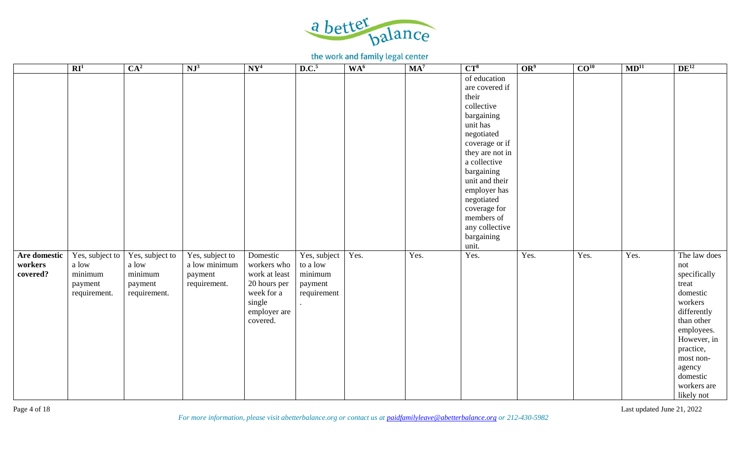

|                                     | $\overline{\mathbf{R}\mathbf{I}^1}$                            | CA <sup>2</sup>                                                         | $NJ^3$                                                      | NY <sup>4</sup>                                                                                              | D.C. <sup>5</sup>                                                                     | WA <sup>6</sup> | $MA^7$ | $CT^8$                                                                                                                                                                                                                                                                         | OR <sup>9</sup> | CO <sup>10</sup> | MD <sup>11</sup> | $DE^{12}$                                                                                                                                                                                                  |
|-------------------------------------|----------------------------------------------------------------|-------------------------------------------------------------------------|-------------------------------------------------------------|--------------------------------------------------------------------------------------------------------------|---------------------------------------------------------------------------------------|-----------------|--------|--------------------------------------------------------------------------------------------------------------------------------------------------------------------------------------------------------------------------------------------------------------------------------|-----------------|------------------|------------------|------------------------------------------------------------------------------------------------------------------------------------------------------------------------------------------------------------|
|                                     |                                                                |                                                                         |                                                             |                                                                                                              |                                                                                       |                 |        | of education<br>are covered if<br>their<br>collective<br>bargaining<br>unit has<br>negotiated<br>coverage or if<br>they are not in<br>a collective<br>bargaining<br>unit and their<br>employer has<br>negotiated<br>coverage for<br>members of<br>any collective<br>bargaining |                 |                  |                  |                                                                                                                                                                                                            |
| Are domestic<br>workers<br>covered? | Yes, subject to<br>a low<br>minimum<br>payment<br>requirement. | Yes, subject to<br>a low<br>$\mbox{minimum}$<br>payment<br>requirement. | Yes, subject to<br>a low minimum<br>payment<br>requirement. | Domestic<br>workers who<br>work at least<br>20 hours per<br>week for a<br>single<br>employer are<br>covered. | Yes, subject<br>to a low<br>minimum<br>payment<br>requirement<br>$\ddot{\phantom{a}}$ | Yes.            | Yes.   | unit.<br>Yes.                                                                                                                                                                                                                                                                  | Yes.            | Yes.             | Yes.             | The law does<br>not<br>specifically<br>treat<br>domestic<br>workers<br>differently<br>than other<br>employees.<br>However, in<br>practice,<br>most non-<br>agency<br>domestic<br>workers are<br>likely not |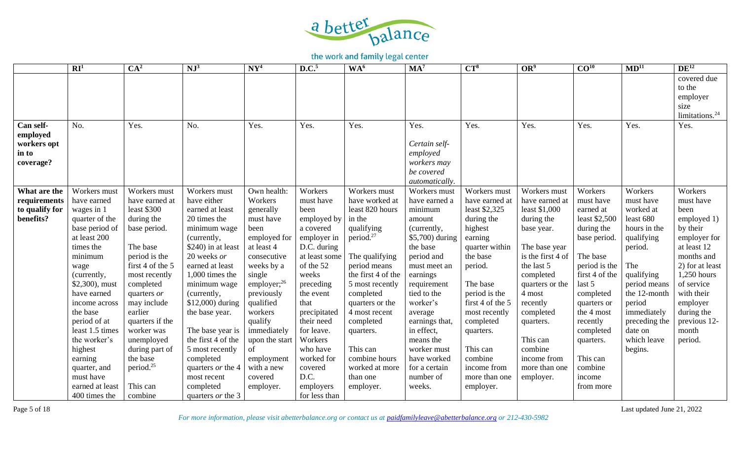

|                      | RI <sup>1</sup>                 | CA <sup>2</sup>               | NJ <sup>3</sup>                        | $\mathbf{N}\mathbf{Y}^4$      | D.C. <sup>5</sup>     | WA <sup>6</sup>       | MA <sup>7</sup>         | $CT^8$           | OR <sup>9</sup>   | CO <sup>10</sup> | $\overline{\mathrm{MD}^{11}}$ | $DE^{12}$             |
|----------------------|---------------------------------|-------------------------------|----------------------------------------|-------------------------------|-----------------------|-----------------------|-------------------------|------------------|-------------------|------------------|-------------------------------|-----------------------|
|                      |                                 |                               |                                        |                               |                       |                       |                         |                  |                   |                  |                               | covered due           |
|                      |                                 |                               |                                        |                               |                       |                       |                         |                  |                   |                  |                               | to the                |
|                      |                                 |                               |                                        |                               |                       |                       |                         |                  |                   |                  |                               | employer              |
|                      |                                 |                               |                                        |                               |                       |                       |                         |                  |                   |                  |                               | size                  |
|                      |                                 |                               |                                        |                               |                       |                       |                         |                  |                   |                  |                               | limitations. $24$     |
| Can self-            | No.                             | Yes.                          | No.                                    | Yes.                          | Yes.                  | Yes.                  | Yes.                    | Yes.             | Yes.              | Yes.             | Yes.                          | Yes.                  |
| employed             |                                 |                               |                                        |                               |                       |                       |                         |                  |                   |                  |                               |                       |
| workers opt<br>in to |                                 |                               |                                        |                               |                       |                       | Certain self-           |                  |                   |                  |                               |                       |
| coverage?            |                                 |                               |                                        |                               |                       |                       | employed<br>workers may |                  |                   |                  |                               |                       |
|                      |                                 |                               |                                        |                               |                       |                       | be covered              |                  |                   |                  |                               |                       |
|                      |                                 |                               |                                        |                               |                       |                       | automatically.          |                  |                   |                  |                               |                       |
| What are the         | Workers must                    | Workers must                  | Workers must                           | Own health:                   | Workers               | Workers must          | Workers must            | Workers must     | Workers must      | Workers          | Workers                       | Workers               |
| requirements         | have earned                     | have earned at                | have either                            | Workers                       | must have             | have worked at        | have earned a           | have earned at   | have earned at    | must have        | must have                     | must have             |
| to qualify for       | wages in 1                      | least $$300$                  | earned at least                        | generally                     | been                  | least 820 hours       | minimum                 | least \$2,325    | least \$1,000     | earned at        | worked at                     | been                  |
| benefits?            | quarter of the                  | during the                    | 20 times the                           | must have                     | employed by           | in the                | amount                  | during the       | during the        | least \$2,500    | least 680                     | employed 1)           |
|                      | base period of                  | base period.                  | minimum wage                           | been                          | a covered             | qualifying            | (currently,             | highest          | base year.        | during the       | hours in the                  | by their              |
|                      | at least 200                    |                               | (currently,                            | employed for                  | employer in           | period. <sup>27</sup> | $$5,700$ ) during       | earning          |                   | base period.     | qualifying                    | employer for          |
|                      | times the                       | The base                      | \$240) in at least                     | at least 4                    | D.C. during           |                       | the base                | quarter within   | The base year     |                  | period.                       | at least 12           |
|                      | minimum                         | period is the                 | 20 weeks or                            | consecutive                   | at least some         | The qualifying        | period and              | the base         | is the first 4 of | The base         |                               | months and            |
|                      | wage                            | first 4 of the 5              | earned at least                        | weeks by a                    | of the 52             | period means          | must meet an            | period.          | the last 5        | period is the    | The                           | 2) for at least       |
|                      | (currently,                     | most recently                 | 1,000 times the                        | single                        | weeks                 | the first 4 of the    | earnings                |                  | completed         | first 4 of the   | qualifying                    | 1,250 hours           |
|                      | \$2,300), must                  | completed                     | minimum wage                           | employer; $^{26}$             | preceding             | 5 most recently       | requirement             | The base         | quarters or the   | last 5           | period means                  | of service            |
|                      | have earned                     | quarters or                   | (currently,                            | previously                    | the event             | completed             | tied to the             | period is the    | 4 most            | completed        | the 12-month                  | with their            |
|                      | income across                   | may include                   | $$12,000$ ) during                     | qualified                     | that                  | quarters or the       | worker's                | first 4 of the 5 | recently          | quarters or      | period                        | employer              |
|                      | the base                        | earlier                       | the base year.                         | workers                       | precipitated          | 4 most recent         | average                 | most recently    | completed         | the 4 most       | immediately                   | during the            |
|                      | period of at<br>least 1.5 times | quarters if the<br>worker was |                                        | qualify                       | their need            | completed             | earnings that,          | completed        | quarters.         | recently         | preceding the<br>date on      | previous 12-<br>month |
|                      | the worker's                    | unemployed                    | The base year is<br>the first 4 of the | immediately<br>upon the start | for leave.<br>Workers | quarters.             | in effect,<br>means the | quarters.        | This can          | completed        | which leave                   | period.               |
|                      | highest                         | during part of                | 5 most recently                        | of                            | who have              | This can              | worker must             | This can         | combine           | quarters.        | begins.                       |                       |
|                      | earning                         | the base                      | completed                              | employment                    | worked for            | combine hours         | have worked             | combine          | income from       | This can         |                               |                       |
|                      | quarter, and                    | period. <sup>25</sup>         | quarters <i>or</i> the 4               | with a new                    | covered               | worked at more        | for a certain           | income from      | more than one     | combine          |                               |                       |
|                      | must have                       |                               | most recent                            | covered                       | D.C.                  | than one              | number of               | more than one    | employer.         | income           |                               |                       |
|                      | earned at least                 | This can                      | completed                              | employer.                     | employers             | employer.             | weeks.                  | employer.        |                   | from more        |                               |                       |
|                      | 400 times the                   | combine                       | quarters <i>or</i> the 3               |                               | for less than         |                       |                         |                  |                   |                  |                               |                       |

Page 5 of 18 Last updated June 21, 2022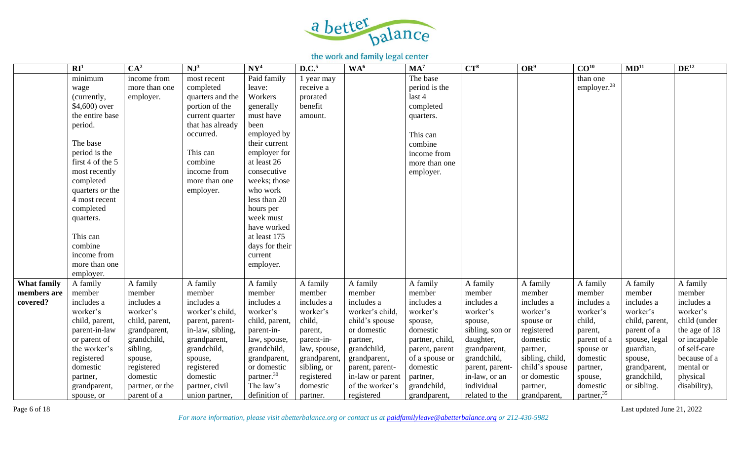

|                    | $\overline{\mathbf{R}\mathbf{I}^1}$ | CA <sup>2</sup> | NJ <sup>3</sup>  | $\mathbf{N}\mathbf{Y}^4$ | D.C. <sup>5</sup> | WA <sup>6</sup>  | MA <sup>7</sup> | $CT^8$          | OR <sup>9</sup> | CO <sup>10</sup>        | MD <sup>11</sup> | $DE^{12}$     |
|--------------------|-------------------------------------|-----------------|------------------|--------------------------|-------------------|------------------|-----------------|-----------------|-----------------|-------------------------|------------------|---------------|
|                    | minimum                             | income from     | most recent      | Paid family              | 1 year may        |                  | The base        |                 |                 | than one                |                  |               |
|                    | wage                                | more than one   | completed        | leave:                   | receive a         |                  | period is the   |                 |                 | employer. <sup>28</sup> |                  |               |
|                    | (currently,                         | employer.       | quarters and the | Workers                  | prorated          |                  | last 4          |                 |                 |                         |                  |               |
|                    | $$4,600$ ) over                     |                 | portion of the   | generally                | benefit           |                  | completed       |                 |                 |                         |                  |               |
|                    | the entire base                     |                 | current quarter  | must have                | amount.           |                  | quarters.       |                 |                 |                         |                  |               |
|                    | period.                             |                 | that has already | been                     |                   |                  |                 |                 |                 |                         |                  |               |
|                    |                                     |                 | occurred.        | employed by              |                   |                  | This can        |                 |                 |                         |                  |               |
|                    | The base                            |                 |                  | their current            |                   |                  | combine         |                 |                 |                         |                  |               |
|                    | period is the                       |                 | This can         | employer for             |                   |                  | income from     |                 |                 |                         |                  |               |
|                    | first 4 of the 5                    |                 | combine          | at least 26              |                   |                  | more than one   |                 |                 |                         |                  |               |
|                    | most recently                       |                 | income from      | consecutive              |                   |                  | employer.       |                 |                 |                         |                  |               |
|                    | completed                           |                 | more than one    | weeks; those             |                   |                  |                 |                 |                 |                         |                  |               |
|                    | quarters or the                     |                 | employer.        | who work                 |                   |                  |                 |                 |                 |                         |                  |               |
|                    | 4 most recent                       |                 |                  | less than 20             |                   |                  |                 |                 |                 |                         |                  |               |
|                    | completed                           |                 |                  | hours per                |                   |                  |                 |                 |                 |                         |                  |               |
|                    | quarters.                           |                 |                  | week must<br>have worked |                   |                  |                 |                 |                 |                         |                  |               |
|                    | This can                            |                 |                  | at least 175             |                   |                  |                 |                 |                 |                         |                  |               |
|                    | combine                             |                 |                  | days for their           |                   |                  |                 |                 |                 |                         |                  |               |
|                    | income from                         |                 |                  | current                  |                   |                  |                 |                 |                 |                         |                  |               |
|                    | more than one                       |                 |                  | employer.                |                   |                  |                 |                 |                 |                         |                  |               |
|                    | employer.                           |                 |                  |                          |                   |                  |                 |                 |                 |                         |                  |               |
| <b>What family</b> | A family                            | A family        | A family         | A family                 | A family          | A family         | A family        | A family        | A family        | A family                | A family         | A family      |
| members are        | member                              | member          | member           | member                   | member            | member           | member          | member          | member          | member                  | member           | member        |
| covered?           | includes a                          | includes a      | includes a       | includes a               | includes a        | includes a       | includes a      | includes a      | includes a      | includes a              | includes a       | includes a    |
|                    | worker's                            | worker's        | worker's child,  | worker's                 | worker's          | worker's child,  | worker's        | worker's        | worker's        | worker's                | worker's         | worker's      |
|                    | child, parent,                      | child, parent,  | parent, parent-  | child, parent,           | child,            | child's spouse   | spouse,         | spouse,         | spouse or       | child,                  | child, parent,   | child (under  |
|                    | parent-in-law                       | grandparent,    | in-law, sibling, | parent-in-               | parent,           | or domestic      | domestic        | sibling, son or | registered      | parent,                 | parent of a      | the age of 18 |
|                    | or parent of                        | grandchild,     | grandparent,     | law, spouse,             | parent-in-        | partner,         | partner, child, | daughter,       | domestic        | parent of a             | spouse, legal    | or incapable  |
|                    | the worker's                        | sibling,        | grandchild,      | grandchild,              | law, spouse,      | grandchild,      | parent, parent  | grandparent,    | partner,        | spouse or               | guardian,        | of self-care  |
|                    | registered                          | spouse,         | spouse,          | grandparent,             | grandparent,      | grandparent,     | of a spouse or  | grandchild,     | sibling, child, | domestic                | spouse,          | because of a  |
|                    | domestic                            | registered      | registered       | or domestic              | sibling, or       | parent, parent-  | domestic        | parent, parent- | child's spouse  | partner,                | grandparent,     | mental or     |
|                    | partner,                            | domestic        | domestic         | partner. <sup>30</sup>   | registered        | in-law or parent | partner,        | in-law, or an   | or domestic     | spouse,                 | grandchild,      | physical      |
|                    | grandparent,                        | partner, or the | partner, civil   | The law's                | domestic          | of the worker's  | grandchild,     | individual      | partner,        | domestic                | or sibling.      | disability),  |
|                    | spouse, or                          | parent of a     | union partner,   | definition of            | partner.          | registered       | grandparent,    | related to the  | grandparent,    | partner, <sup>35</sup>  |                  |               |

Page 6 of 18 Last updated June 21, 2022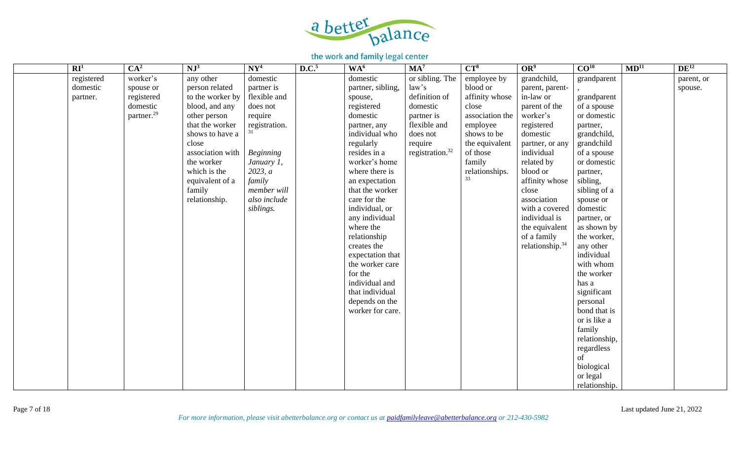

| $\overline{\mathbf{R}\mathbf{I}^1}$ | CA <sup>2</sup>        | $NJ^3$           | $N Y^4$          | D.C. <sup>5</sup> | WA <sup>6</sup>   | $MA^7$                      | $CT^8$          | OR <sup>9</sup>             | CO <sup>10</sup> | MD <sup>11</sup> | $DE^{12}$  |
|-------------------------------------|------------------------|------------------|------------------|-------------------|-------------------|-----------------------------|-----------------|-----------------------------|------------------|------------------|------------|
| registered                          | worker's               | any other        | domestic         |                   | domestic          | or sibling. The             | employee by     | grandchild,                 | grandparent      |                  | parent, or |
| domestic                            | spouse or              | person related   | partner is       |                   | partner, sibling, | law's                       | blood or        | parent, parent-             |                  |                  | spouse.    |
| partner.                            | registered             | to the worker by | flexible and     |                   | spouse,           | definition of               | affinity whose  | in-law or                   | grandparent      |                  |            |
|                                     | domestic               | blood, and any   | does not         |                   | registered        | domestic                    | close           | parent of the               | of a spouse      |                  |            |
|                                     | partner. <sup>29</sup> | other person     | require          |                   | domestic          | partner is                  | association the | worker's                    | or domestic      |                  |            |
|                                     |                        | that the worker  | registration.    |                   | partner, any      | flexible and                | employee        | registered                  | partner,         |                  |            |
|                                     |                        | shows to have a  |                  |                   | individual who    | does not                    | shows to be     | domestic                    | grandchild,      |                  |            |
|                                     |                        | close            |                  |                   | regularly         | require                     | the equivalent  | partner, or any             | grandchild       |                  |            |
|                                     |                        | association with | <b>Beginning</b> |                   | resides in a      | registration. <sup>32</sup> | of those        | individual                  | of a spouse      |                  |            |
|                                     |                        | the worker       | January 1,       |                   | worker's home     |                             | family          | related by                  | or domestic      |                  |            |
|                                     |                        | which is the     | 2023, a          |                   | where there is    |                             | relationships.  | blood or                    | partner,         |                  |            |
|                                     |                        | equivalent of a  | family           |                   | an expectation    |                             |                 | affinity whose              | sibling,         |                  |            |
|                                     |                        | family           | member will      |                   | that the worker   |                             |                 | close                       | sibling of a     |                  |            |
|                                     |                        | relationship.    | also include     |                   | care for the      |                             |                 | association                 | spouse or        |                  |            |
|                                     |                        |                  | siblings.        |                   | individual, or    |                             |                 | with a covered              | domestic         |                  |            |
|                                     |                        |                  |                  |                   | any individual    |                             |                 | individual is               | partner, or      |                  |            |
|                                     |                        |                  |                  |                   | where the         |                             |                 | the equivalent              | as shown by      |                  |            |
|                                     |                        |                  |                  |                   | relationship      |                             |                 | of a family                 | the worker,      |                  |            |
|                                     |                        |                  |                  |                   | creates the       |                             |                 | relationship. <sup>34</sup> | any other        |                  |            |
|                                     |                        |                  |                  |                   | expectation that  |                             |                 |                             | individual       |                  |            |
|                                     |                        |                  |                  |                   | the worker care   |                             |                 |                             | with whom        |                  |            |
|                                     |                        |                  |                  |                   | for the           |                             |                 |                             | the worker       |                  |            |
|                                     |                        |                  |                  |                   | individual and    |                             |                 |                             | has a            |                  |            |
|                                     |                        |                  |                  |                   | that individual   |                             |                 |                             | significant      |                  |            |
|                                     |                        |                  |                  |                   | depends on the    |                             |                 |                             | personal         |                  |            |
|                                     |                        |                  |                  |                   | worker for care.  |                             |                 |                             | bond that is     |                  |            |
|                                     |                        |                  |                  |                   |                   |                             |                 |                             | or is like a     |                  |            |
|                                     |                        |                  |                  |                   |                   |                             |                 |                             | family           |                  |            |
|                                     |                        |                  |                  |                   |                   |                             |                 |                             | relationship,    |                  |            |
|                                     |                        |                  |                  |                   |                   |                             |                 |                             | regardless       |                  |            |
|                                     |                        |                  |                  |                   |                   |                             |                 |                             | of               |                  |            |
|                                     |                        |                  |                  |                   |                   |                             |                 |                             | biological       |                  |            |
|                                     |                        |                  |                  |                   |                   |                             |                 |                             | or legal         |                  |            |
|                                     |                        |                  |                  |                   |                   |                             |                 |                             | relationship.    |                  |            |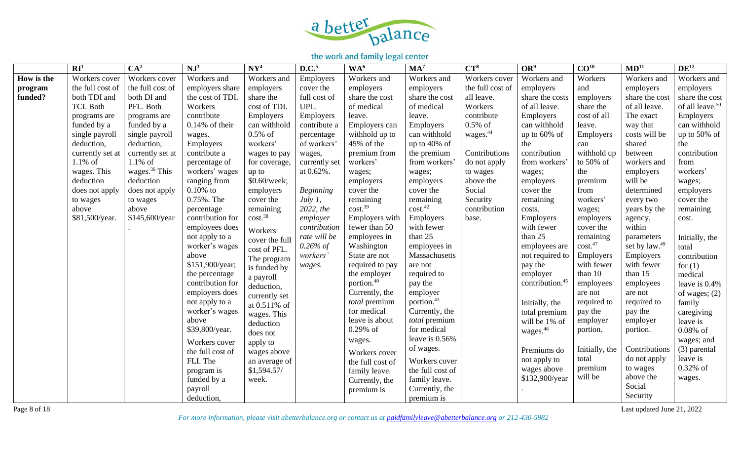

|            | $\mathbf{R}$ $\mathbf{I}^1$ | CA <sup>2</sup>  | NJ <sup>3</sup>   | $N Y^4$             | D.C. <sup>5</sup> | WA <sup>6</sup>        | MA <sup>7</sup>        | $CT^8$               | OR <sup>9</sup>             | CO <sup>10</sup>    | MD <sup>11</sup>          | $DE^{12}$                   |
|------------|-----------------------------|------------------|-------------------|---------------------|-------------------|------------------------|------------------------|----------------------|-----------------------------|---------------------|---------------------------|-----------------------------|
| How is the | Workers cover               | Workers cover    | Workers and       | Workers and         | Employers         | Workers and            | Workers and            | Workers cover        | Workers and                 | Workers             | Workers and               | Workers and                 |
| program    | the full cost of            | the full cost of | employers share   | employers           | cover the         | employers              | employers              | the full cost of     | employers                   | and                 | employers                 | employers                   |
| funded?    | both TDI and                | both DI and      | the cost of TDI.  | share the           | full cost of      | share the cost         | share the cost         | all leave.           | share the costs             | employers           | share the cost            | share the cost              |
|            | TCI. Both                   | PFL. Both        | Workers           | cost of TDI.        | UPL.              | of medical             | of medical             | Workers              | of all leave.               | share the           | of all leave.             | of all leave. <sup>50</sup> |
|            | programs are                | programs are     | contribute        | Employers           | Employers         | leave.                 | leave.                 | contribute           | Employers                   | cost of all         | The exact                 | Employers                   |
|            | funded by a                 | funded by a      | $0.14\%$ of their | can withhold        | contribute a      | Employers can          | Employers              | $0.5\%$ of           | can withhold                | leave.              | way that                  | can withhold                |
|            | single payroll              | single payroll   | wages.            | $0.5\%$ of          | percentage        | withhold up to         | can withhold           | wages. <sup>44</sup> | up to 60% of                | Employers           | costs will be             | up to 50% of                |
|            | deduction,                  | deduction,       | Employers         | workers'            | of workers'       | 45% of the             | up to $40\%$ of        |                      | the                         | can                 | shared                    | the                         |
|            | currently set at            | currently set at | contribute a      | wages to pay        | wages,            | premium from           | the premium            | Contributions        | contribution                | withhold up         | between                   | contribution                |
|            | $1.1\%$ of                  | $1.1\%$ of       | percentage of     | for coverage,       | currently set     | workers'               | from workers'          | do not apply         | from workers'               | to 50% of           | workers and               | from                        |
|            | wages. This                 | wages. $36$ This | workers' wages    | up to               | at 0.62%.         | wages;                 | wages;                 | to wages             | wages;                      | the                 | employers                 | workers'                    |
|            | deduction                   | deduction        | ranging from      | \$0.60/week;        |                   | employers              | employers              | above the            | employers                   | premium             | will be                   | wages;                      |
|            | does not apply              | does not apply   | $0.10\%$ to       | employers           | <b>Beginning</b>  | cover the              | cover the              | Social               | cover the                   | from                | determined                | employers                   |
|            | to wages                    | to wages         | 0.75%. The        | cover the           | July $1$ ,        | remaining              | remaining              | Security             | remaining                   | workers'            | every two                 | cover the                   |
|            | above                       | above            | percentage        | remaining           | 2022, the         | cost. <sup>39</sup>    | cost. <sup>42</sup>    | contribution         | costs.                      | wages;              | years by the              | remaining                   |
|            | \$81,500/year.              | \$145,600/year   | contribution for  | cost. <sup>38</sup> | employer          | Employers with         | Employers              | base.                | Employers                   | employers           | agency,                   | cost.                       |
|            |                             |                  | employees does    | Workers             | contribution      | fewer than 50          | with fewer             |                      | with fewer                  | cover the           | within                    |                             |
|            |                             |                  | not apply to a    | cover the full      | rate will be      | employees in           | than 25                |                      | than 25                     | remaining           | parameters                | Initially, the              |
|            |                             |                  | worker's wages    | cost of PFL.        | $0.26\%$ of       | Washington             | employees in           |                      | employees are               | cost. <sup>47</sup> | set by law. <sup>49</sup> | total                       |
|            |                             |                  | above             | The program         | workers           | State are not          | Massachusetts          |                      | not required to             | Employers           | Employers                 | contribution                |
|            |                             |                  | \$151,900/year;   | is funded by        | wages.            | required to pay        | are not                |                      | pay the                     | with fewer          | with fewer                | for $(1)$                   |
|            |                             |                  | the percentage    | a payroll           |                   | the employer           | required to            |                      | employer                    | than 10             | than 15                   | medical                     |
|            |                             |                  | contribution for  | deduction,          |                   | portion. <sup>40</sup> | pay the                |                      | contribution. <sup>45</sup> | employees           | employees                 | leave is 0.4%               |
|            |                             |                  | employers does    | currently set       |                   | Currently, the         | employer               |                      |                             | are not             | are not                   | of wages; $(2)$             |
|            |                             |                  | not apply to a    | at 0.511% of        |                   | total premium          | portion. <sup>43</sup> |                      | Initially, the              | required to         | required to               | family                      |
|            |                             |                  | worker's wages    | wages. This         |                   | for medical            | Currently, the         |                      | total premium               | pay the             | pay the                   | caregiving                  |
|            |                             |                  | above             | deduction           |                   | leave is about         | total premium          |                      | will be 1% of               | employer            | employer                  | leave is                    |
|            |                             |                  | \$39,800/year.    | does not            |                   | $0.29%$ of             | for medical            |                      | wages. <sup>46</sup>        | portion.            | portion.                  | $0.08\%$ of                 |
|            |                             |                  | Workers cover     | apply to            |                   | wages.                 | leave is 0.56%         |                      |                             |                     |                           | wages; and                  |
|            |                             |                  | the full cost of  | wages above         |                   | Workers cover          | of wages.              |                      | Premiums do                 | Initially, the      | Contributions             | (3) parental                |
|            |                             |                  | FLI. The          | an average of       |                   | the full cost of       | Workers cover          |                      | not apply to                | total               | do not apply              | leave is                    |
|            |                             |                  | program is        | \$1,594.57/         |                   | family leave.          | the full cost of       |                      | wages above                 | premium             | to wages                  | 0.32% of                    |
|            |                             |                  | funded by a       | week.               |                   | Currently, the         | family leave.          |                      | \$132,900/year              | will be             | above the                 | wages.                      |
|            |                             |                  | payroll           |                     |                   | premium is             | Currently, the         |                      |                             |                     | Social                    |                             |
|            |                             |                  | deduction,        |                     |                   |                        | premium is             |                      |                             |                     | Security                  |                             |

Page 8 of 18 Last updated June 21, 2022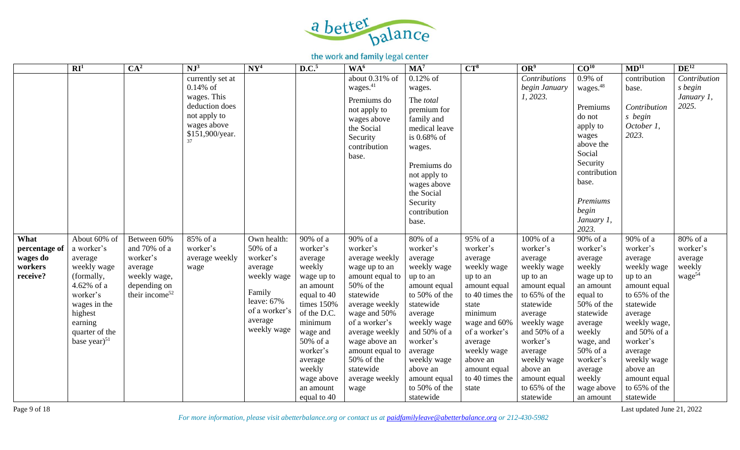

|                                                          | $\overline{\mathbb{R}I^1}$                                                                                                                                                       | CA <sup>2</sup>                                                                                                  | $NJ^3$                                                                                                            | $N Y^4$                                                                                                                            | D.C. <sup>5</sup>                                                                                                                                                                                                              | WA <sup>6</sup>                                                                                                                                                                                                                                                     | $MA^7$                                                                                                                                                                                                                                             | $CT^8$                                                                                                                                                                                                                               | OR <sup>9</sup>                                                                                                                                                                                                                                                   | CO <sup>10</sup>                                                                                                                                                                                                      | MD <sup>11</sup>                                                                                                                                                                                                                                    | $DE^{12}$                                                       |
|----------------------------------------------------------|----------------------------------------------------------------------------------------------------------------------------------------------------------------------------------|------------------------------------------------------------------------------------------------------------------|-------------------------------------------------------------------------------------------------------------------|------------------------------------------------------------------------------------------------------------------------------------|--------------------------------------------------------------------------------------------------------------------------------------------------------------------------------------------------------------------------------|---------------------------------------------------------------------------------------------------------------------------------------------------------------------------------------------------------------------------------------------------------------------|----------------------------------------------------------------------------------------------------------------------------------------------------------------------------------------------------------------------------------------------------|--------------------------------------------------------------------------------------------------------------------------------------------------------------------------------------------------------------------------------------|-------------------------------------------------------------------------------------------------------------------------------------------------------------------------------------------------------------------------------------------------------------------|-----------------------------------------------------------------------------------------------------------------------------------------------------------------------------------------------------------------------|-----------------------------------------------------------------------------------------------------------------------------------------------------------------------------------------------------------------------------------------------------|-----------------------------------------------------------------|
|                                                          |                                                                                                                                                                                  |                                                                                                                  | currently set at<br>$0.14%$ of<br>wages. This<br>deduction does<br>not apply to<br>wages above<br>\$151,900/year. |                                                                                                                                    |                                                                                                                                                                                                                                | about $0.31\%$ of<br>wages. <sup>41</sup><br>Premiums do<br>not apply to<br>wages above<br>the Social<br>Security<br>contribution<br>base.                                                                                                                          | $0.12\%$ of<br>wages.<br>The total<br>premium for<br>family and<br>medical leave<br>is 0.68% of<br>wages.<br>Premiums do<br>not apply to<br>wages above<br>the Social<br>Security<br>contribution<br>base.                                         |                                                                                                                                                                                                                                      | <b>Contributions</b><br>begin January<br>1, 2023.                                                                                                                                                                                                                 | $0.9\%$ of<br>wages. <sup>48</sup><br>Premiums<br>do not<br>apply to<br>wages<br>above the<br>Social<br>Security<br>contribution<br>base.<br>Premiums<br>begin<br>January 1,<br>2023.                                 | contribution<br>base.<br>Contribution<br>s begin<br>October 1,<br>2023.                                                                                                                                                                             | Contribution<br>s begin<br>January 1,<br>2025.                  |
| What<br>percentage of<br>wages do<br>workers<br>receive? | About 60% of<br>a worker's<br>average<br>weekly wage<br>(formally,<br>4.62% of a<br>worker's<br>wages in the<br>highest<br>earning<br>quarter of the<br>base year) <sup>51</sup> | Between 60%<br>and 70% of a<br>worker's<br>average<br>weekly wage,<br>depending on<br>their income <sup>52</sup> | 85% of a<br>worker's<br>average weekly<br>wage                                                                    | Own health:<br>50% of a<br>worker's<br>average<br>weekly wage<br>Family<br>leave: $67%$<br>of a worker's<br>average<br>weekly wage | 90% of a<br>worker's<br>average<br>weekly<br>wage up to<br>an amount<br>equal to 40<br>times 150%<br>of the D.C.<br>minimum<br>wage and<br>50% of a<br>worker's<br>average<br>weekly<br>wage above<br>an amount<br>equal to 40 | 90% of a<br>worker's<br>average weekly<br>wage up to an<br>amount equal to<br>50% of the<br>statewide<br>average weekly<br>wage and 50%<br>of a worker's<br>average weekly<br>wage above an<br>amount equal to<br>50% of the<br>statewide<br>average weekly<br>wage | 80% of a<br>worker's<br>average<br>weekly wage<br>up to an<br>amount equal<br>to 50% of the<br>statewide<br>average<br>weekly wage<br>and 50% of a<br>worker's<br>average<br>weekly wage<br>above an<br>amount equal<br>to 50% of the<br>statewide | 95% of a<br>worker's<br>average<br>weekly wage<br>up to an<br>amount equal<br>to 40 times the<br>state<br>minimum<br>wage and 60%<br>of a worker's<br>average<br>weekly wage<br>above an<br>amount equal<br>to 40 times the<br>state | $\overline{100\%}$ of a<br>worker's<br>average<br>weekly wage<br>up to an<br>amount equal<br>to 65% of the<br>statewide<br>average<br>weekly wage<br>and 50% of a<br>worker's<br>average<br>weekly wage<br>above an<br>amount equal<br>to 65% of the<br>statewide | 90% of a<br>worker's<br>average<br>weekly<br>wage up to<br>an amount<br>equal to<br>50% of the<br>statewide<br>average<br>weekly<br>wage, and<br>50% of a<br>worker's<br>average<br>weekly<br>wage above<br>an amount | 90% of a<br>worker's<br>average<br>weekly wage<br>up to an<br>amount equal<br>to 65% of the<br>statewide<br>average<br>weekly wage,<br>and 50% of a<br>worker's<br>average<br>weekly wage<br>above an<br>amount equal<br>to 65% of the<br>statewide | 80% of a<br>worker's<br>average<br>weekly<br>wage <sup>54</sup> |

Page 9 of 18 Last updated June 21, 2022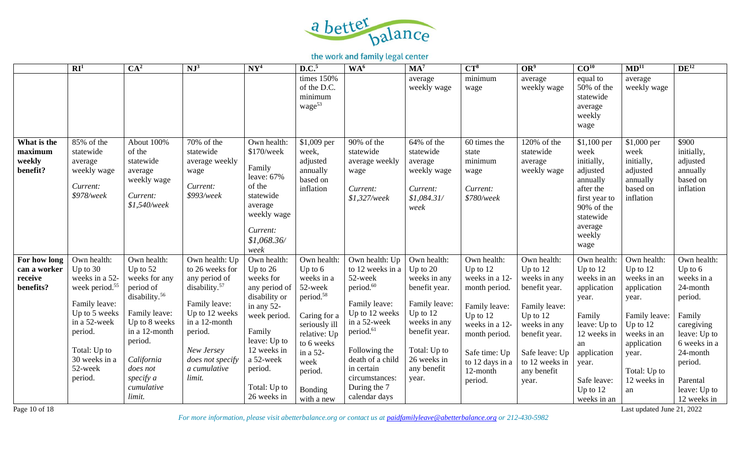

|                                                      | RI <sup>1</sup>                                                                                                                                                                             | CA <sup>2</sup>                                                                                                                                                                                                   | NJ <sup>3</sup>                                                                                                                                                                                            | NY <sup>4</sup>                                                                                                                                                                                        | D.C. <sup>5</sup>                                                                                                                                                                                 | WA <sup>6</sup>                                                                                                                                                                                                                                          | MA <sup>7</sup>                                                                                                                                                                   | $CT^8$                                                                                                                                                                                  | OR <sup>9</sup>                                                                                                                                                                    | CO <sup>10</sup>                                                                                                                                                                    | MD <sup>11</sup>                                                                                                                                                            | $DE^{12}$                                                                                                                                                                               |
|------------------------------------------------------|---------------------------------------------------------------------------------------------------------------------------------------------------------------------------------------------|-------------------------------------------------------------------------------------------------------------------------------------------------------------------------------------------------------------------|------------------------------------------------------------------------------------------------------------------------------------------------------------------------------------------------------------|--------------------------------------------------------------------------------------------------------------------------------------------------------------------------------------------------------|---------------------------------------------------------------------------------------------------------------------------------------------------------------------------------------------------|----------------------------------------------------------------------------------------------------------------------------------------------------------------------------------------------------------------------------------------------------------|-----------------------------------------------------------------------------------------------------------------------------------------------------------------------------------|-----------------------------------------------------------------------------------------------------------------------------------------------------------------------------------------|------------------------------------------------------------------------------------------------------------------------------------------------------------------------------------|-------------------------------------------------------------------------------------------------------------------------------------------------------------------------------------|-----------------------------------------------------------------------------------------------------------------------------------------------------------------------------|-----------------------------------------------------------------------------------------------------------------------------------------------------------------------------------------|
|                                                      |                                                                                                                                                                                             |                                                                                                                                                                                                                   |                                                                                                                                                                                                            |                                                                                                                                                                                                        | times 150%<br>of the D.C.<br>minimum<br>wage <sup>53</sup>                                                                                                                                        |                                                                                                                                                                                                                                                          | average<br>weekly wage                                                                                                                                                            | minimum<br>wage                                                                                                                                                                         | average<br>weekly wage                                                                                                                                                             | equal to<br>50% of the<br>statewide<br>average<br>weekly<br>wage                                                                                                                    | average<br>weekly wage                                                                                                                                                      |                                                                                                                                                                                         |
| What is the<br>maximum<br>weekly<br>benefit?         | 85% of the<br>statewide<br>average<br>weekly wage<br>Current:<br>\$978/week                                                                                                                 | About 100%<br>of the<br>statewide<br>average<br>weekly wage<br>Current:<br>$$1,540$ /week                                                                                                                         | 70% of the<br>statewide<br>average weekly<br>wage<br>Current:<br>\$993/week                                                                                                                                | Own health:<br>\$170/week<br>Family<br>leave: $67%$<br>of the<br>statewide<br>average<br>weekly wage<br>Current:<br>\$1,068.36/<br>$\emph{week}$                                                       | \$1,009 per<br>week,<br>adjusted<br>annually<br>based on<br>inflation                                                                                                                             | $\frac{90\%}{90\%}$ of the<br>statewide<br>average weekly<br>wage<br>Current:<br>$$1,327$ /week                                                                                                                                                          | 64% of the<br>statewide<br>average<br>weekly wage<br>Current:<br>\$1,084.31/<br>week                                                                                              | $\overline{60}$ times the<br>state<br>minimum<br>wage<br>Current:<br>\$780/week                                                                                                         | $\overline{120\% \text{ of the}}$<br>statewide<br>average<br>weekly wage                                                                                                           | $$1,100$ per<br>week<br>initially,<br>adjusted<br>annually<br>after the<br>first year to<br>90% of the<br>statewide<br>average<br>weekly<br>wage                                    | \$1,000 per<br>week<br>initially,<br>adjusted<br>annually<br>based on<br>inflation                                                                                          | \$900<br>initially,<br>adjusted<br>annually<br>based on<br>inflation                                                                                                                    |
| For how long<br>can a worker<br>receive<br>benefits? | Own health:<br>Up to 30<br>weeks in a 52-<br>week period. <sup>55</sup><br>Family leave:<br>Up to 5 weeks<br>in a 52-week<br>period.<br>Total: Up to<br>30 weeks in a<br>52-week<br>period. | Own health:<br>Up to $52$<br>weeks for any<br>period of<br>disability. <sup>56</sup><br>Family leave:<br>Up to 8 weeks<br>in a 12-month<br>period.<br>California<br>does not<br>specify a<br>cumulative<br>limit. | Own health: Up<br>to 26 weeks for<br>any period of<br>disability. <sup>57</sup><br>Family leave:<br>Up to 12 weeks<br>in a 12-month<br>period.<br>New Jersey<br>does not specify<br>a cumulative<br>limit. | Own health:<br>Up to $26$<br>weeks for<br>any period of<br>disability or<br>in any 52-<br>week period.<br>Family<br>leave: Up to<br>12 weeks in<br>a 52-week<br>period.<br>Total: Up to<br>26 weeks in | Own health:<br>Up to $6$<br>weeks in a<br>52-week<br>period. <sup>58</sup><br>Caring for a<br>seriously ill<br>relative: Up<br>to 6 weeks<br>in a 52-<br>week<br>period.<br>Bonding<br>with a new | Own health: Up<br>to 12 weeks in a<br>52-week<br>period. <sup>60</sup><br>Family leave:<br>Up to 12 weeks<br>in a 52-week<br>period. <sup>61</sup><br>Following the<br>death of a child<br>in certain<br>circumstances:<br>During the 7<br>calendar days | Own health:<br>Up to $20$<br>weeks in any<br>benefit year.<br>Family leave:<br>Up to $12$<br>weeks in any<br>benefit year.<br>Total: Up to<br>26 weeks in<br>any benefit<br>year. | Own health:<br>Up to $12$<br>weeks in a 12-<br>month period.<br>Family leave:<br>Up to 12<br>weeks in a 12-<br>month period.<br>Safe time: Up<br>to 12 days in a<br>12-month<br>period. | Own health:<br>Up to 12<br>weeks in any<br>benefit year.<br>Family leave:<br>Up to 12<br>weeks in any<br>benefit year.<br>Safe leave: Up<br>to 12 weeks in<br>any benefit<br>year. | Own health:<br>Up to $12$<br>weeks in an<br>application<br>year.<br>Family<br>leave: Up to<br>12 weeks in<br>an<br>application<br>year.<br>Safe leave:<br>Up to $12$<br>weeks in an | Own health:<br>Up to $12$<br>weeks in an<br>application<br>year.<br>Family leave:<br>Up to $12$<br>weeks in an<br>application<br>year.<br>Total: Up to<br>12 weeks in<br>an | Own health:<br>Up to $6$<br>weeks in a<br>24-month<br>period.<br>Family<br>caregiving<br>leave: Up to<br>6 weeks in a<br>24-month<br>period.<br>Parental<br>leave: Up to<br>12 weeks in |

Page 10 of 18 Last updated June 21, 2022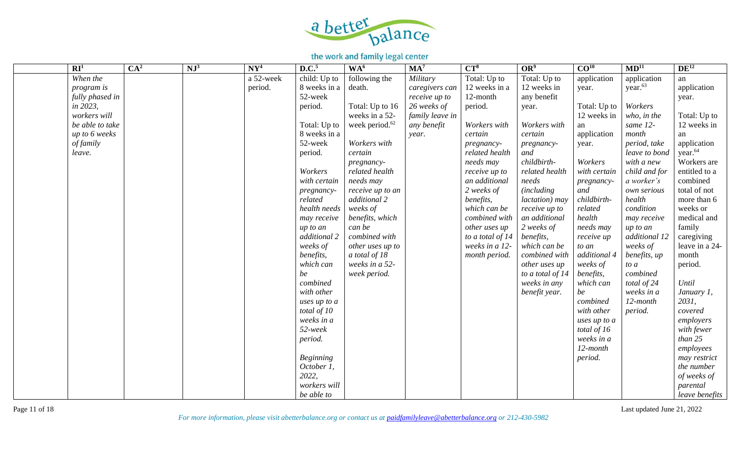

| $\overline{\mathbb{R}I^1}$ | CA <sup>2</sup> | $NJ^3$ | $\mathbf{N}\mathbf{Y}^4$ | D.C. <sup>5</sup>          | WA <sup>6</sup>            | MA <sup>7</sup> | $CT^8$             | OR <sup>9</sup>    | CO <sup>10</sup> | MD <sup>11</sup>    | $DE^{12}$           |
|----------------------------|-----------------|--------|--------------------------|----------------------------|----------------------------|-----------------|--------------------|--------------------|------------------|---------------------|---------------------|
| When the                   |                 |        | a 52-week                | $\overline{child}$ : Up to | following the              | Military        | Total: Up to       | Total: Up to       | application      | application         | an                  |
| program is                 |                 |        | period.                  | 8 weeks in a               | death.                     | caregivers can  | 12 weeks in a      | 12 weeks in        | year.            | year. <sup>63</sup> | application         |
| fully phased in            |                 |        |                          | 52-week                    |                            | receive up to   | 12-month           | any benefit        |                  |                     | year.               |
| in 2023,                   |                 |        |                          | period.                    | Total: Up to 16            | 26 weeks of     | period.            | year.              | Total: Up to     | Workers             |                     |
| workers will               |                 |        |                          |                            | weeks in a 52-             | family leave in |                    |                    | 12 weeks in      | who, in the         | Total: Up to        |
| be able to take            |                 |        |                          | Total: Up to               | week period. <sup>62</sup> | any benefit     | Workers with       | Workers with       | an               | same 12-            | 12 weeks in         |
| up to 6 weeks              |                 |        |                          | 8 weeks in a               |                            | year.           | certain            | certain            | application      | month               | an                  |
| <i>of family</i>           |                 |        |                          | 52-week                    | Workers with               |                 | pregnancy-         | pregnancy-         | year.            | period, take        | application         |
| leave.                     |                 |        |                          | period.                    | certain                    |                 | related health     | and                |                  | leave to bond       | year. <sup>64</sup> |
|                            |                 |        |                          |                            | pregnancy-                 |                 | needs may          | childbirth-        | Workers          | with a new          | Workers are         |
|                            |                 |        |                          | Workers                    | related health             |                 | receive up to      | related health     | with certain     | child and for       | entitled to a       |
|                            |                 |        |                          | with certain               | needs may                  |                 | an additional      | needs              | pregnancy-       | a worker's          | combined            |
|                            |                 |        |                          | pregnancy-                 | receive up to an           |                 | 2 weeks of         | (including)        | and              | own serious         | total of not        |
|                            |                 |        |                          | related                    | additional 2               |                 | benefits,          | lactation) may     | childbirth-      | health              | more than 6         |
|                            |                 |        |                          | health needs               | weeks of                   |                 | which can be       | receive up to      | related          | condition           | weeks or            |
|                            |                 |        |                          | may receive                | benefits, which            |                 | combined with      | an additional      | health           | may receive         | medical and         |
|                            |                 |        |                          | up to an                   | can be                     |                 | other uses up      | 2 weeks of         | needs may        | up to an            | family              |
|                            |                 |        |                          | additional 2               | combined with              |                 | to a total of $14$ | benefits,          | receive up       | additional 12       | caregiving          |
|                            |                 |        |                          | weeks of                   | other uses up to           |                 | weeks in a 12-     | which can be       | to an            | weeks of            | leave in a 24-      |
|                            |                 |        |                          | benefits,                  | a total of 18              |                 | month period.      | combined with      | additional 4     | benefits, up        | month               |
|                            |                 |        |                          | which can                  | weeks in a 52-             |                 |                    | other uses up      | weeks of         | to a                | period.             |
|                            |                 |        |                          | be                         | week period.               |                 |                    | to a total of $14$ | benefits,        | combined            |                     |
|                            |                 |        |                          | combined                   |                            |                 |                    | weeks in any       | which can        | total of 24         | Until               |
|                            |                 |        |                          | with other                 |                            |                 |                    | benefit year.      | be               | weeks in a          | January 1,          |
|                            |                 |        |                          | uses up to a               |                            |                 |                    |                    | combined         | 12-month            | 2031,               |
|                            |                 |        |                          | total of 10                |                            |                 |                    |                    | with other       | period.             | covered             |
|                            |                 |        |                          | weeks in a                 |                            |                 |                    |                    | uses up to a     |                     | employers           |
|                            |                 |        |                          | 52-week                    |                            |                 |                    |                    | total of 16      |                     | with fewer          |
|                            |                 |        |                          | period.                    |                            |                 |                    |                    | weeks in a       |                     | than 25             |
|                            |                 |        |                          |                            |                            |                 |                    |                    | $12$ -month      |                     | employees           |
|                            |                 |        |                          | <b>Beginning</b>           |                            |                 |                    |                    | period.          |                     | may restrict        |
|                            |                 |        |                          | October 1,                 |                            |                 |                    |                    |                  |                     | the number          |
|                            |                 |        |                          | 2022,                      |                            |                 |                    |                    |                  |                     | of weeks of         |
|                            |                 |        |                          | workers will               |                            |                 |                    |                    |                  |                     | parental            |
|                            |                 |        |                          | be able to                 |                            |                 |                    |                    |                  |                     | leave benefits      |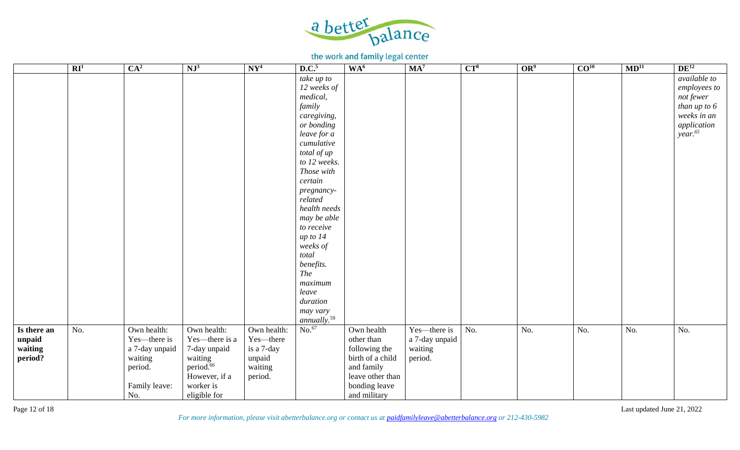

| $\overline{\mathbb{R}I^1}$                         | CA <sup>2</sup>                                                                             | $NJ^3$                                                                                                                          | NY <sup>4</sup>                                                        | D.C. <sup>5</sup>                                                                                                                                                                                                                                                                                                                                                     | WA <sup>6</sup>                                                                                                                  | MA <sup>7</sup>                                      | $CT^8$ | OR <sup>9</sup> | CO <sup>10</sup> | MD <sup>11</sup> | $DE^{12}$                                                                                                            |
|----------------------------------------------------|---------------------------------------------------------------------------------------------|---------------------------------------------------------------------------------------------------------------------------------|------------------------------------------------------------------------|-----------------------------------------------------------------------------------------------------------------------------------------------------------------------------------------------------------------------------------------------------------------------------------------------------------------------------------------------------------------------|----------------------------------------------------------------------------------------------------------------------------------|------------------------------------------------------|--------|-----------------|------------------|------------------|----------------------------------------------------------------------------------------------------------------------|
|                                                    |                                                                                             |                                                                                                                                 |                                                                        | take up to<br>12 weeks of<br>medical,<br>family<br>caregiving,<br>or bonding<br>leave for a<br>cumulative<br>total of up<br>to 12 weeks.<br>Those with<br>certain<br>pregnancy-<br>related<br>health needs<br>may be able<br>to receive<br>up to $14$<br>weeks of<br>total<br>benefits.<br>The<br>maximum<br>leave<br>duration<br>may vary<br>annually. <sup>59</sup> |                                                                                                                                  |                                                      |        |                 |                  |                  | <i>available to</i><br>employees to<br>not fewer<br>than up to 6<br>weeks in an<br>application<br>year <sup>65</sup> |
| Is there an<br>No.<br>unpaid<br>waiting<br>period? | Own health:<br>Yes—there is<br>a 7-day unpaid<br>waiting<br>period.<br>Family leave:<br>No. | Own health:<br>Yes-there is a<br>7-day unpaid<br>waiting<br>period. <sup>66</sup><br>However, if a<br>worker is<br>eligible for | Own health:<br>Yes-there<br>is a 7-day<br>unpaid<br>waiting<br>period. | No. <sup>67</sup>                                                                                                                                                                                                                                                                                                                                                     | Own health<br>other than<br>following the<br>birth of a child<br>and family<br>leave other than<br>bonding leave<br>and military | Yes—there is<br>a 7-day unpaid<br>waiting<br>period. | No.    | No.             | No.              | No.              | No.                                                                                                                  |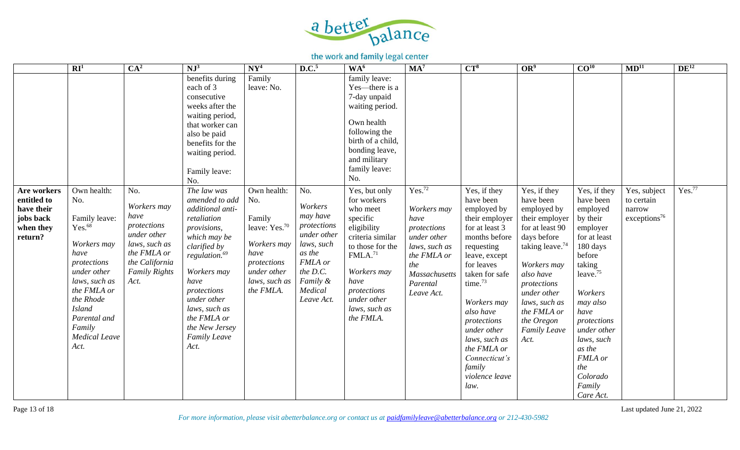

|                                                                               | $\overline{\mathbb{R}I^1}$                                                                                                                                                                                                      | CA <sup>2</sup>                                                                                                                            | $NJ^3$                                                                                                                                                                                                                                                                      | $N Y^4$                                                                                                                                      | D.C. <sup>5</sup>                                                                                                                            | WA <sup>6</sup>                                                                                                                                                                                                       | $MA^7$                                                                                                                                                           | $CT^8$                                                                                                                                                                                                                                                                                                                             | OR <sup>9</sup>                                                                                                                                                                                                                                                    | CO <sup>10</sup>                                                                                                                                                                                                                                                       | MD <sup>11</sup>                                                 | $DE^{12}$          |
|-------------------------------------------------------------------------------|---------------------------------------------------------------------------------------------------------------------------------------------------------------------------------------------------------------------------------|--------------------------------------------------------------------------------------------------------------------------------------------|-----------------------------------------------------------------------------------------------------------------------------------------------------------------------------------------------------------------------------------------------------------------------------|----------------------------------------------------------------------------------------------------------------------------------------------|----------------------------------------------------------------------------------------------------------------------------------------------|-----------------------------------------------------------------------------------------------------------------------------------------------------------------------------------------------------------------------|------------------------------------------------------------------------------------------------------------------------------------------------------------------|------------------------------------------------------------------------------------------------------------------------------------------------------------------------------------------------------------------------------------------------------------------------------------------------------------------------------------|--------------------------------------------------------------------------------------------------------------------------------------------------------------------------------------------------------------------------------------------------------------------|------------------------------------------------------------------------------------------------------------------------------------------------------------------------------------------------------------------------------------------------------------------------|------------------------------------------------------------------|--------------------|
|                                                                               |                                                                                                                                                                                                                                 |                                                                                                                                            | benefits during<br>each of 3<br>consecutive<br>weeks after the<br>waiting period,<br>that worker can<br>also be paid<br>benefits for the<br>waiting period.<br>Family leave:<br>No.                                                                                         | Family<br>leave: No.                                                                                                                         |                                                                                                                                              | family leave:<br>Yes—there is a<br>7-day unpaid<br>waiting period.<br>Own health<br>following the<br>birth of a child,<br>bonding leave,<br>and military<br>family leave:<br>No.                                      |                                                                                                                                                                  |                                                                                                                                                                                                                                                                                                                                    |                                                                                                                                                                                                                                                                    |                                                                                                                                                                                                                                                                        |                                                                  |                    |
| Are workers<br>entitled to<br>have their<br>jobs back<br>when they<br>return? | Own health:<br>No.<br>Family leave:<br>Yes. <sup>68</sup><br>Workers may<br>have<br>protections<br>under other<br>laws, such as<br>the FMLA or<br>the Rhode<br><b>Island</b><br>Parental and<br>Family<br>Medical Leave<br>Act. | No.<br>Workers may<br>have<br>protections<br>under other<br>laws, such as<br>the FMLA or<br>the California<br><b>Family Rights</b><br>Act. | The law was<br>amended to add<br>additional anti-<br>retaliation<br>provisions,<br>which may be<br>clarified by<br>regulation. <sup>69</sup><br>Workers may<br>have<br>protections<br>under other<br>laws, such as<br>the FMLA or<br>the New Jersey<br>Family Leave<br>Act. | Own health:<br>No.<br>Family<br>leave: Yes. <sup>70</sup><br>Workers may<br>have<br>protections<br>under other<br>laws, such as<br>the FMLA. | No.<br>Workers<br>may have<br>protections<br>under other<br>laws, such<br>as the<br>FMLA or<br>the D.C.<br>Family &<br>Medical<br>Leave Act. | Yes, but only<br>for workers<br>who meet<br>specific<br>eligibility<br>criteria similar<br>to those for the<br>FMLA. <sup>71</sup><br>Workers may<br>have<br>protections<br>under other<br>laws, such as<br>the FMLA. | Yes. <sup>72</sup><br>Workers may<br>have<br>protections<br>under other<br>laws, such as<br>the FMLA or<br>the<br><b>Massachusetts</b><br>Parental<br>Leave Act. | Yes, if they<br>have been<br>employed by<br>their employer<br>for at least 3<br>months before<br>requesting<br>leave, except<br>for leaves<br>taken for safe<br>time. <sup>73</sup><br>Workers may<br>also have<br>protections<br>under other<br>laws, such as<br>the FMLA or<br>Connecticut's<br>family<br>violence leave<br>law. | Yes, if they<br>have been<br>employed by<br>their employer<br>for at least 90<br>days before<br>taking leave. <sup>74</sup><br>Workers may<br>also have<br>protections<br>under other<br>laws, such as<br>the FMLA or<br>the Oregon<br><b>Family Leave</b><br>Act. | Yes, if they<br>have been<br>employed<br>by their<br>employer<br>for at least<br>180 days<br>before<br>taking<br>leave. $75$<br>Workers<br>may also<br>have<br>protections<br>under other<br>laws, such<br>as the<br>FMLA or<br>the<br>Colorado<br>Family<br>Care Act. | Yes, subject<br>to certain<br>narrow<br>exceptions <sup>76</sup> | Yes. <sup>77</sup> |

Page 13 of 18 Last updated June 21, 2022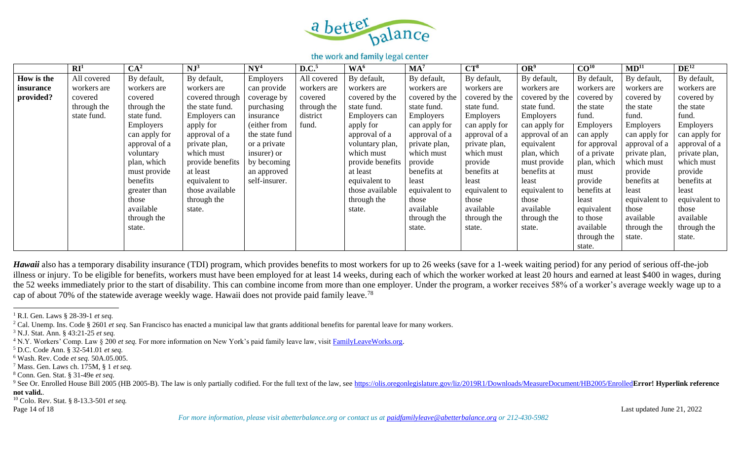

|            | $\mathbf{R} \mathbf{I}^1$ | CA <sup>2</sup> | NJ <sup>3</sup>  | NY <sup>4</sup> | D.C. <sup>5</sup> | WA <sup>6</sup>  | $MA^7$         | $CT^8$         | OR <sup>9</sup> | CO <sup>10</sup> | MD <sup>11</sup> | $DE^{12}$     |
|------------|---------------------------|-----------------|------------------|-----------------|-------------------|------------------|----------------|----------------|-----------------|------------------|------------------|---------------|
| How is the | All covered               | By default,     | By default,      | Employers       | All covered       | By default,      | By default,    | By default,    | By default,     | By default,      | By default,      | By default,   |
| insurance  | workers are               | workers are     | workers are      | can provide     | workers are       | workers are      | workers are    | workers are    | workers are     | workers are      | workers are      | workers are   |
| provided?  | covered                   | covered         | covered through  | coverage by     | covered           | covered by the   | covered by the | covered by the | covered by the  | covered by       | covered by       | covered by    |
|            | through the               | through the     | the state fund.  | purchasing      | through the       | state fund.      | state fund.    | state fund.    | state fund.     | the state        | the state        | the state     |
|            | state fund.               | state fund.     | Employers can    | insurance       | district          | Employers can    | Employers      | Employers      | Employers       | fund.            | fund.            | fund.         |
|            |                           | Employers       | apply for        | (either from    | fund.             | apply for        | can apply for  | can apply for  | can apply for   | Employers        | Employers        | Employers     |
|            |                           | can apply for   | approval of a    | the state fund  |                   | approval of a    | approval of a  | approval of a  | approval of an  | can apply        | can apply for    | can apply for |
|            |                           | approval of a   | private plan,    | or a private    |                   | voluntary plan,  | private plan,  | private plan,  | equivalent      | for approval     | approval of a    | approval of a |
|            |                           | voluntary       | which must       | insurer) or     |                   | which must       | which must     | which must     | plan, which     | of a private     | private plan,    | private plan, |
|            |                           | plan, which     | provide benefits | by becoming     |                   | provide benefits | provide        | provide        | must provide    | plan, which      | which must       | which must    |
|            |                           | must provide    | at least         | an approved     |                   | at least         | benefits at    | benefits at    | benefits at     | must             | provide          | provide       |
|            |                           | benefits        | equivalent to    | self-insurer.   |                   | equivalent to    | least          | least          | least           | provide          | benefits at      | benefits at   |
|            |                           | greater than    | those available  |                 |                   | those available  | equivalent to  | equivalent to  | equivalent to   | benefits at      | least            | least         |
|            |                           | those           | through the      |                 |                   | through the      | those          | those          | those           | least            | equivalent to    | equivalent to |
|            |                           | available       | state.           |                 |                   | state.           | available      | available      | available       | equivalent       | those            | those         |
|            |                           | through the     |                  |                 |                   |                  | through the    | through the    | through the     | to those         | available        | available     |
|            |                           | state.          |                  |                 |                   |                  | state.         | state.         | state.          | available        | through the      | through the   |
|            |                           |                 |                  |                 |                   |                  |                |                |                 | through the      | state.           | state.        |
|            |                           |                 |                  |                 |                   |                  |                |                |                 | state.           |                  |               |

*Hawaii* also has a temporary disability insurance (TDI) program, which provides benefits to most workers for up to 26 weeks (save for a 1-week waiting period) for any period of serious off-the-job illness or injury. To be eligible for benefits, workers must have been employed for at least 14 weeks, during each of which the worker worked at least 20 hours and earned at least \$400 in wages, during the 52 weeks immediately prior to the start of disability. This can combine income from more than one employer. Under the program, a worker receives 58% of a worker's average weekly wage up to a cap of about 70% of the statewide average weekly wage. Hawaii does not provide paid family leave.<sup>78</sup>

<sup>1</sup> R.I. Gen. Laws § 28-39-1 *et seq.*

<sup>2</sup> Cal. Unemp. Ins. Code § 2601 *et seq*. San Francisco has enacted a municipal law that grants additional benefits for parental leave for many workers.

<sup>3</sup> N.J. Stat. Ann. § 43:21-25 *et seq.*

<sup>&</sup>lt;sup>4</sup> N.Y. Workers' Comp. Law § 200 *et seq.* For more information on New York's paid family leave law, visit [FamilyLeaveWorks.org.](https://www.abetterbalance.org/family-leave-works-new-york/)

<sup>5</sup> D.C. Code Ann. § 32-541.01 *et seq.*

<sup>6</sup> Wash. Rev. Code *et seq.* 50A.05.005.

<sup>7</sup> Mass. Gen. Laws ch. 175M, § 1 *et seq.*

<sup>8</sup> Conn. Gen. Stat. § 31-49e *et seq.*

<sup>&</sup>lt;sup>9</sup> See Or. Enrolled House Bill 2005 (HB 2005-B). The law is only partially codified. For the full text of the law, se[e https://olis.oregonlegislature.gov/liz/2019R1/Downloads/MeasureDocument/HB2005/Enrolled](https://olis.oregonlegislature.gov/liz/2019R1/Downloads/MeasureDocument/HB2005/Enrolled)Error! Hyperlin **not valid.**.

<sup>10</sup> Colo. Rev. Stat. § 8-13.3-501 *et seq.*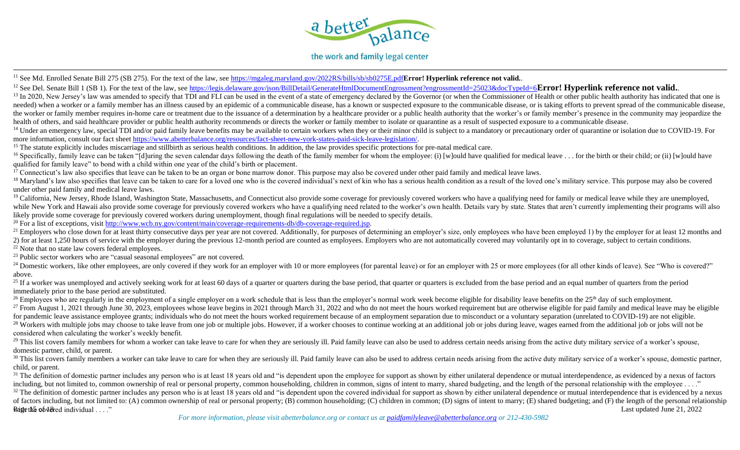

<sup>11</sup> See Md. Enrolled Senate Bill 275 (SB 275). For the text of the law, see<https://mgaleg.maryland.gov/2022RS/bills/sb/sb0275E.pdf>**Error! Hyperlink reference not valid.**.

<sup>12</sup> See Del. Senate Bill 1 (SB 1). For the text of the law, see<https://legis.delaware.gov/json/BillDetail/GenerateHtmlDocumentEngrossment?engrossmentId=25023&docTypeId=6>**Error! Hyperlink reference not valid.**.

<sup>13</sup> In 2020, New Jersey's law was amended to specify that TDI and FLI can be used in the event of a state of emergency declared by the Governor (or when the Commissioner of Health or other public health authority has indi needed) when a worker or a family member has an illness caused by an epidemic of a communicable disease, has a known or suspected exposure to the communicable disease, or is taking efforts to prevent spread of the communic the worker or family member requires in-home care or treatment due to the issuance of a determination by a healthcare provider or a public health authority that the worker's or family member's presence in the community may health of others, and said healthcare provider or public health authority recommends or directs the worker or family member to isolate or quarantine as a result of suspected exposure to a communicable disease.

<sup>14</sup> Under an emergency law, special TDI and/or paid family leave benefits may be available to certain workers when they or their minor child is subject to a mandatory or precautionary order of quarantine or isolation due more information, consult our fact sheet [https://www.abetterbalance.org/resources/fact-sheet-new-york-states-paid-sick-leave-legislation/.](https://www.abetterbalance.org/resources/fact-sheet-new-york-states-paid-sick-leave-legislation/)

<sup>15</sup> The statute explicitly includes miscarriage and stillbirth as serious health conditions. In addition, the law provides specific protections for pre-natal medical care.

<sup>16</sup> Specifically, family leave can be taken "[d]uring the seven calendar days following the death of the family member for whom the employee: (i) [w]ould have qualified for medical leave . . . for the birth or their child qualified for family leave" to bond with a child within one year of the child's birth or placement.

 $17$  Connecticut's law also specifies that leave can be taken to be an organ or bone marrow donor. This purpose may also be covered under other paid family and medical leave laws.

<sup>18</sup> Maryland's law also specifies that leave can be taken to care for a loved one who is the covered individual's next of kin who has a serious health condition as a result of the loved one's military service. This purpos under other paid family and medical leave laws.

<sup>19</sup> California, New Jersey, Rhode Island, Washington State, Massachusetts, and Connecticut also provide some coverage for previously covered workers who have a qualifying need for family or medical leave while they are un while New York and Hawaii also provide some coverage for previously covered workers who have a qualifying need related to the worker's own health. Details vary by state. States that aren't currently implementing their prog likely provide some coverage for previously covered workers during unemployment, though final regulations will be needed to specify details.

<sup>20</sup> For a list of exceptions, visit [http://www.wcb.ny.gov/content/main/coverage-requirements-db/db-coverage-required.jsp.](http://www.wcb.ny.gov/content/main/coverage-requirements-db/db-coverage-required.jsp)

<sup>21</sup> Employers who close down for at least thirty consecutive days per year are not covered. Additionally, for purposes of determining an employer's size, only employees who have been employed 1) by the employer for at lea 2) for at least 1.250 hours of service with the employer during the previous 12-month period are counted as employees. Employers who are not automatically covered may voluntarily opt in to coverage, subject to certain cond <sup>22</sup> Note that no state law covers federal employees.

 $23$  Public sector workers who are "casual seasonal employees" are not covered.

<sup>24</sup> Domestic workers, like other employees, are only covered if they work for an employer with 10 or more employees (for parental leave) or for an employer with 25 or more employees (for all other kinds of leave). See "Wh above.

<sup>25</sup> If a worker was unemployed and actively seeking work for at least 60 days of a quarter or quarters during the base period, that quarter or quarters is excluded from the base period and an equal number of quarters from immediately prior to the base period are substituted.

<sup>26</sup> Employees who are regularly in the employment of a single employer on a work schedule that is less than the employer's normal work week become eligible for disability leave benefits on the  $25<sup>th</sup>$  day of such emp

<sup>27</sup> From August 1, 2021 through June 30, 2023, employees whose leave begins in 2021 through March 31, 2022 and who do not meet the hours worked requirement but are otherwise eligible for paid family and medical leave may

for pandemic leave assistance employee grants; individuals who do not meet the hours worked requirement because of an employment separation due to misconduct or a voluntary separation (unrelated to COVID-19) are not eligib <sup>28</sup> Workers with multiple jobs may choose to take leave from one job or multiple jobs. However, if a worker chooses to continue working at an additional job or jobs during leave, wages earned from the additional job or jo considered when calculating the worker's weekly benefit.

<sup>29</sup> This list covers family members for whom a worker can take leave to care for when they are seriously ill. Paid family leave can also be used to address certain needs arising from the active duty military service of a domestic partner, child, or parent.

<sup>30</sup> This list covers family members a worker can take leave to care for when they are seriously ill. Paid family leave can also be used to address certain needs arising from the active duty military service of a worker's child, or parent.

<sup>31</sup> The definition of domestic partner includes any person who is at least 18 years old and "is dependent upon the employee for support as shown by either unilateral dependence or mutual interdependence, as evidenced by a including, but not limited to, common ownership of real or personal property, common householding, children in common, signs of intent to marry, shared budgeting, and the length of the personal relationship with the employ

Rage the obvered individual . . . ." Last updated June 21, 2022 32 The definition of domestic partner includes any person who is at least 18 years old and "is dependent upon the covered individual for support as shown by either unilateral dependence or mutual interdependence that is ev of factors including, but not limited to: (A) common ownership of real or personal property; (B) common householding; (C) children in common; (D) signs of intent to marry; (E) shared budgeting; and (F) the length of the pe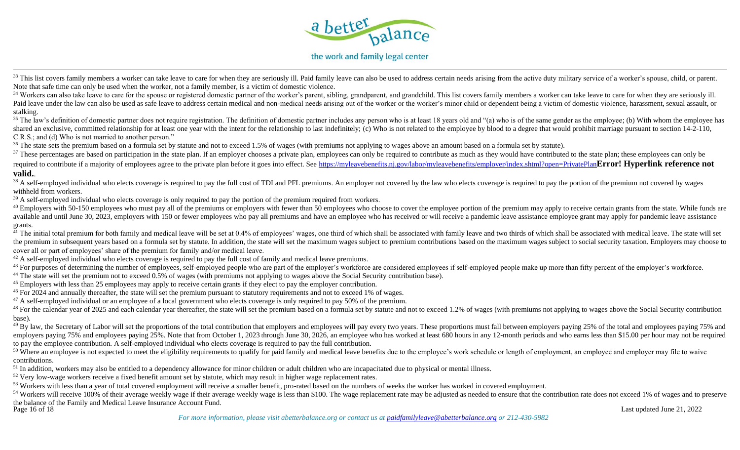

<sup>33</sup> This list covers family members a worker can take leave to care for when they are seriously ill. Paid family leave can also be used to address certain needs arising from the active duty military service of a worker's Note that safe time can only be used when the worker, not a family member, is a victim of domestic violence.

<sup>34</sup> Workers can also take leave to care for the spouse or registered domestic partner of the worker's parent, sibling, grandparent, and grandchild. This list covers family members a worker can take leave to care for when Paid leave under the law can also be used as safe leave to address certain medical and non-medical needs arising out of the worker or the worker's minor child or dependent being a victim of domestic violence, harassment, s stalking.

<sup>35</sup> The law's definition of domestic partner does not require registration. The definition of domestic partner includes any person who is at least 18 years old and "(a) who is of the same gender as the employee; (b) With shared an exclusive, committed relationship for at least one year with the intent for the relationship to last indefinitely; (c) Who is not related to the employee by blood to a degree that would prohibit marriage pursuant C.R.S.; and (d) Who is not married to another person."

<sup>36</sup> The state sets the premium based on a formula set by statute and not to exceed 1.5% of wages (with premiums not applying to wages above an amount based on a formula set by statute).

<sup>37</sup> These percentages are based on participation in the state plan. If an employer chooses a private plan, employees can only be required to contribute as much as they would have contributed to the state plan; these emplo required to contribute if a majority of employees agree to the private plan before it goes into effect. See<https://myleavebenefits.nj.gov/labor/myleavebenefits/employer/index.shtml?open=PrivatePlan>**Error! Hyperlink refere valid.**.

<sup>38</sup> A self-employed individual who elects coverage is required to pay the full cost of TDI and PFL premiums. An employer not covered by the law who elects coverage is required to pay the portion of the premium not covered withheld from workers.

 $39$  A self-employed individual who elects coverage is only required to pay the portion of the premium required from workers.

<sup>40</sup> Employers with 50-150 employees who must pay all of the premiums or employers with fewer than 50 employees who choose to cover the employee portion of the premium may apply to receive certain grants from the state. Wh available and until June 30, 2023, employers with 150 or fewer employees who pay all premiums and have an employee who has received or will receive a pandemic leave assistance employee grant may apply for pandemic leave as grants.

 $\frac{1}{41}$  The initial total premium for both family and medical leave will be set at 0.4% of employees' wages, one third of which shall be associated with family leave and two thirds of which shall be associated with med the premium in subsequent years based on a formula set by statute. In addition, the state will set the maximum wages subject to premium contributions based on the maximum wages subject to social security taxation. Employer cover all or part of employees' share of the premium for family and/or medical leave.

 $42$  A self-employed individual who elects coverage is required to pay the full cost of family and medical leave premiums.

<sup>43</sup> For purposes of determining the number of employees, self-employed people who are part of the employer's workforce are considered employees if self-employed people make up more than fifty percent of the employer's wor

<sup>44</sup> The state will set the premium not to exceed 0.5% of wages (with premiums not applying to wages above the Social Security contribution base).

<sup>45</sup> Employers with less than 25 employees may apply to receive certain grants if they elect to pay the employer contribution.

<sup>46</sup> For 2024 and annually thereafter, the state will set the premium pursuant to statutory requirements and not to exceed 1% of wages.

<sup>47</sup> A self-employed individual or an employee of a local government who elects coverage is only required to pay 50% of the premium.

<sup>48</sup> For the calendar year of 2025 and each calendar year thereafter, the state will set the premium based on a formula set by statute and not to exceed 1.2% of wages (with premiums not applying to wages above the Social S base).

<sup>49</sup> By law, the Secretary of Labor will set the proportions of the total contribution that employers and employees will pay every two years. These proportions must fall between employers paying 25% of the total and employ employers paying 75% and employees paying 25%. Note that from October 1, 2023 through June 30, 2026, an employee who has worked at least 680 hours in any 12-month periods and who earns less than \$15.00 per hour may not be to pay the employee contribution. A self-employed individual who elects coverage is required to pay the full contribution.

<sup>50</sup> Where an employee is not expected to meet the eligibility requirements to qualify for paid family and medical leave benefits due to the employee's work schedule or length of employment, an employee and employer may fi contributions.

<sup>51</sup> In addition, workers may also be entitled to a dependency allowance for minor children or adult children who are incapacitated due to physical or mental illness.

<sup>52</sup> Very low-wage workers receive a fixed benefit amount set by statute, which may result in higher wage replacement rates.

<sup>53</sup> Workers with less than a year of total covered employment will receive a smaller benefit, pro-rated based on the numbers of weeks the worker has worked in covered employment.

Page 16 of 18 Last updated June 21, 2022 <sup>54</sup> Workers will receive 100% of their average weekly wage if their average weekly wage is less than \$100. The wage replacement rate may be adjusted as needed to ensure that the contribution rate does not exceed 1% of wag the balance of the Family and Medical Leave Insurance Account Fund.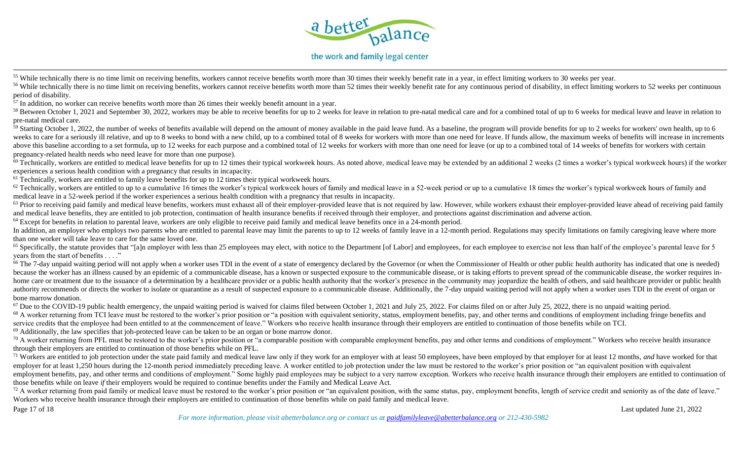

<sup>55</sup> While technically there is no time limit on receiving benefits, workers cannot receive benefits worth more than 30 times their weekly benefit rate in a year, in effect limiting workers to 30 weeks per year.

<sup>56</sup> While technically there is no time limit on receiving benefits, workers cannot receive benefits worth more than 52 times their weekly benefit rate for any continuous period of disability, in effect limiting workers to period of disability.

<sup>57</sup> In addition, no worker can receive benefits worth more than 26 times their weekly benefit amount in a year.

<sup>58</sup> Between October 1, 2021 and September 30, 2022, workers may be able to receive benefits for up to 2 weeks for leave in relation to pre-natal medical care and for a combined total of up to 6 weeks for medical leave and pre-natal medical care.

<sup>59</sup> Starting October 1, 2022, the number of weeks of benefits available will depend on the amount of money available in the paid leave fund. As a baseline, the program will provide benefits for up to 2 weeks for workers' weeks to care for a seriously ill relative, and up to 8 weeks to bond with a new child, up to a combined total of 8 weeks for workers with more than one need for leave. If funds allow, the maximum weeks of benefits will in above this baseline according to a set formula, up to 12 weeks for each purpose and a combined total of 12 weeks for workers with more than one need for leave (or up to a combined total of 14 weeks of benefits for workers pregnancy-related health needs who need leave for more than one purpose).

 $^{60}$  Technically, workers are entitled to medical leave benefits for up to 12 times their typical workweek hours. As noted above, medical leave may be extended by an additional 2 weeks (2 times a worker's typical workwe experiences a serious health condition with a pregnancy that results in incapacity.

 $<sup>61</sup>$  Technically, workers are entitled to family leave benefits for up to 12 times their typical workweek hours.</sup>

<sup>62</sup> Technically, workers are entitled to up to a cumulative 16 times the worker's typical workweek hours of family and medical leave in a 52-week period or up to a cumulative 18 times the worker's typical workweek hours o medical leave in a 52-week period if the worker experiences a serious health condition with a pregnancy that results in incapacity.

<sup>63</sup> Prior to receiving paid family and medical leave benefits, workers must exhaust all of their employer-provided leave that is not required by law. However, while workers exhaust their employer-provided leave ahead of r and medical leave benefits, they are entitled to job protection, continuation of health insurance benefits if received through their employer, and protections against discrimination and adverse action.

<sup>64</sup> Except for benefits in relation to parental leave, workers are only eligible to receive paid family and medical leave benefits once in a 24-month period.

In addition, an employer who employs two parents who are entitled to parental leave may limit the parents to up to 12 weeks of family leave in a 12-month period. Regulations may specify limitations on family caregiving lea than one worker will take leave to care for the same loved one.

<sup>65</sup> Specifically, the statute provides that "[a]n employer with less than 25 employees may elect, with notice to the Department [of Labor] and employees, for each employee to exercise not less than half of the employee's years from the start of benefits . . . ."

<sup>66</sup> The 7-day unpaid waiting period will not apply when a worker uses TDI in the event of a state of emergency declared by the Governor (or when the Commissioner of Health or other public health authority has indicated th because the worker has an illness caused by an epidemic of a communicable disease, has a known or suspected exposure to the communicable disease, or is taking efforts to prevent spread of the communicable disease, the work home care or treatment due to the issuance of a determination by a healthcare provider or a public health authority that the worker's presence in the community may jeopardize the health of others, and said healthcare provi authority recommends or directs the worker to isolate or quarantine as a result of suspected exposure to a communicable disease. Additionally, the 7-day unpaid waiting period will not apply when a worker uses TDI in the ev bone marrow donation.

 $^{67}$  Due to the COVID-19 public health emergency, the unpaid waiting period is waived for claims filed between October 1, 2021 and July 25, 2022. For claims filed on or after July 25, 2022, there is no unpaid waiting pe <sup>68</sup> A worker returning from TCI leave must be restored to the worker's prior position or "a position with equivalent seniority, status, employment benefits, pay, and other terms and conditions of employment including frin service credits that the employee had been entitled to at the commencement of leave." Workers who receive health insurance through their employers are entitled to continuation of those benefits while on TCI.

<sup>69</sup> Additionally, the law specifies that job-protected leave can be taken to be an organ or bone marrow donor.

70 A worker returning from PFL must be restored to the worker's prior position or "a comparable position with comparable employment benefits, pay and other terms and conditions of employment." Workers who receive health in through their employers are entitled to continuation of those benefits while on PFL.

<sup>71</sup> Workers are entitled to job protection under the state paid family and medical leave law only if they work for an employer with at least 50 employees, have been employed by that employer for at least 12 months, and ha employer for at least 1,250 hours during the 12-month period immediately preceding leave. A worker entitled to job protection under the law must be restored to the worker's prior position or "an equivalent position with eq employment benefits, pay, and other terms and conditions of employment." Some highly paid employees may be subject to a very narrow exception. Workers who receive health insurance through their employers are entitled to co those benefits while on leave *if* their employers would be required to continue benefits under the Family and Medical Leave Act.

<sup>72</sup> A worker returning from paid family or medical leave must be restored to the worker's prior position or "an equivalent position, with the same status, pay, employment benefits, length of service credit and seniority a Workers who receive health insurance through their employers are entitled to continuation of those benefits while on paid family and medical leave.

Page 17 of 18 Last updated June 21, 2022